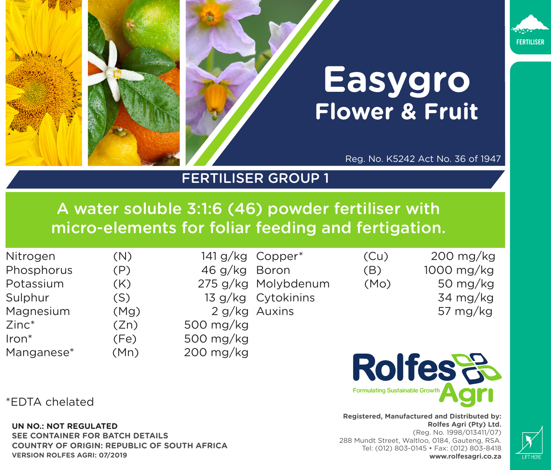



## **Easygro Flower & Fruit**

Reg. No. K5242 Act No. 36 of 1947

## FERTILISER GROUP 1

A water soluble 3:1:6 (46) powder fertiliser with micro-elements for foliar feeding and fertigation.

| Nitrogen   | (N)  | 141 g/kg            |  |
|------------|------|---------------------|--|
| Phosphorus | (P)  | 46 g/kg<br>275 g/kg |  |
| Potassium  | (K)  |                     |  |
| Sulphur    | (S)  | 13 g/kg             |  |
| Magnesium  | (Mg) | 2 g/kg              |  |
| $Zinc^*$   | (Zn) | 500 mg/kg           |  |
| Iron*      | (Fe) | 500 mg/kg           |  |
| Manganese* | (Mn) | 200 mg/kg           |  |

| 141 g/kg  | Copper*       |
|-----------|---------------|
| 46 g/kg   | Boron         |
| 275 g/kg  | Molybde       |
| 13 g/kg   | Cytokini      |
|           | 2 g/kg Auxins |
| 500 mg/kg |               |
| 500 mg/kg |               |
| 200 mg/kg |               |

 $(Cu)$  200 mg/kg (B) 1000 mg/kg  $m$ um (Mo) 50 mg/kg ns 34 mg/kg 57 mg/kg



**Registered, Manufactured and Distributed by: Rolfes Agri (Pty) Ltd.**  (Reg. No. 1998/013411/07) 288 Mundt Street, Waltloo, 0184, Gauteng, RSA. Tel: (012) 803-0145 • Fax: (012) 803-8418 **www.rolfesagri.co.za**



\*EDTA chelated

**UN NO.: NOT REGULATED**

**SEE CONTAINER FOR BATCH DETAILS COUNTRY OF ORIGIN: REPUBLIC OF SOUTH AFRICA VERSION ROLFES AGRI: 07/2019**